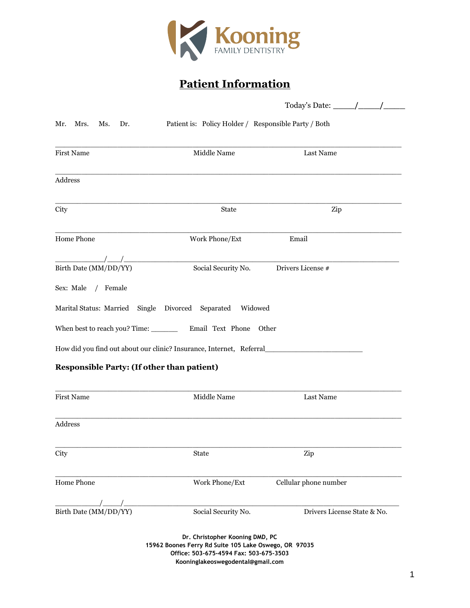

# **Patient Information**

|                                                   |                                                                                                                                                                         | Today's Date: $\frac{\qquad}{\qquad}$                                                                |  |  |
|---------------------------------------------------|-------------------------------------------------------------------------------------------------------------------------------------------------------------------------|------------------------------------------------------------------------------------------------------|--|--|
| Mr.<br>Mrs.<br>Ms.<br>Dr.                         | Patient is: Policy Holder / Responsible Party / Both                                                                                                                    |                                                                                                      |  |  |
| <b>First Name</b>                                 | Middle Name                                                                                                                                                             | Last Name                                                                                            |  |  |
| Address                                           |                                                                                                                                                                         |                                                                                                      |  |  |
| City                                              | State                                                                                                                                                                   | Zip                                                                                                  |  |  |
| Home Phone                                        | Work Phone/Ext                                                                                                                                                          | Email                                                                                                |  |  |
| Birth Date (MM/DD/YY)                             | Social Security No.                                                                                                                                                     | Drivers License #                                                                                    |  |  |
| Sex: Male / Female                                |                                                                                                                                                                         |                                                                                                      |  |  |
|                                                   | Marital Status: Married Single Divorced Separated Widowed                                                                                                               |                                                                                                      |  |  |
|                                                   |                                                                                                                                                                         |                                                                                                      |  |  |
|                                                   |                                                                                                                                                                         | How did you find out about our clinic? Insurance, Internet, Referral________________________________ |  |  |
| <b>Responsible Party: (If other than patient)</b> |                                                                                                                                                                         |                                                                                                      |  |  |
| <b>First Name</b>                                 | Middle Name                                                                                                                                                             | Last Name                                                                                            |  |  |
| Address                                           |                                                                                                                                                                         |                                                                                                      |  |  |
| City                                              | State                                                                                                                                                                   | Zip                                                                                                  |  |  |
| Home Phone                                        | Work Phone/Ext                                                                                                                                                          | Cellular phone number                                                                                |  |  |
| Birth Date (MM/DD/YY)                             | Social Security No.                                                                                                                                                     | Drivers License State & No.                                                                          |  |  |
|                                                   | Dr. Christopher Kooning DMD, PC<br>15962 Boones Ferry Rd Suite 105 Lake Oswego, OR 97035<br>Office: 503-675-4594 Fax: 503-675-3503<br>Kooninglakeoswegodental@gmail.com |                                                                                                      |  |  |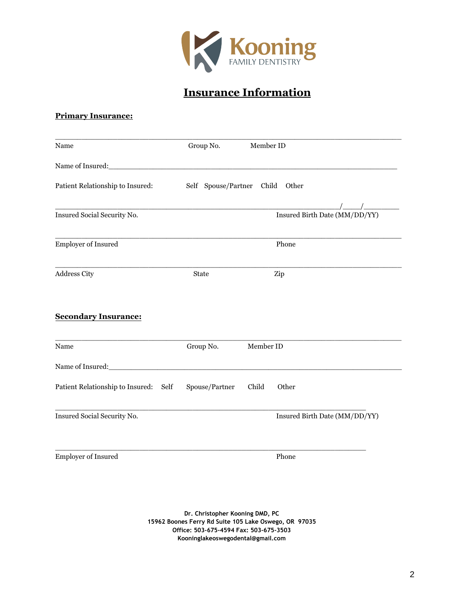

## **Insurance Information**

#### **Primary Insurance:**

| Name                                        | Group No.      | Member ID                       |
|---------------------------------------------|----------------|---------------------------------|
| Name of Insured:<br><u>Name of Insured:</u> |                |                                 |
| Patient Relationship to Insured:            |                | Self Spouse/Partner Child Other |
| Insured Social Security No.                 |                | Insured Birth Date (MM/DD/YY)   |
| Employer of Insured                         |                | Phone                           |
| Address City                                | <b>State</b>   | Zip                             |
| <b>Secondary Insurance:</b>                 |                |                                 |
| Name                                        | Group No.      | Member ID                       |
| Name of Insured:                            |                |                                 |
| Patient Relationship to Insured: Self       | Spouse/Partner | Child<br>Other                  |
| Insured Social Security No.                 |                | Insured Birth Date (MM/DD/YY)   |
| Employer of Insured                         |                | Phone                           |

**Dr. Christopher Kooning DMD, PC 15962 Boones Ferry Rd Suite 105 Lake Oswego, OR 97035 Office: 503-675-4594 Fax: 503-675-3503 Kooni[nglakeoswegodental@gmail.com](mailto:Kooninglakeoswegodental@gmail.com)**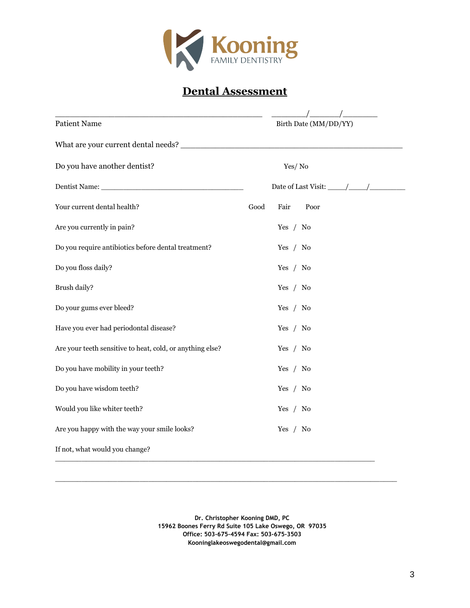

## **Dental Assessment**

| Birth Date (MM/DD/YY) |
|-----------------------|
|                       |
| Yes/No                |
|                       |
| Good<br>Fair<br>Poor  |
| Yes / No              |
| Yes / No              |
| Yes $/$ No            |
| Yes $/$ No            |
| Yes $/$ No            |
| Yes / No              |
| Yes / No              |
| Yes / No              |
| Yes / No              |
| Yes / No              |
| Yes $/$ No            |
|                       |
|                       |

**Dr. Christopher Kooning DMD, PC 15962 Boones Ferry Rd Suite 105 Lake Oswego, OR 97035 Off[ice: 503-675-4594 Fax: 503-67](mailto:Kooninglakeoswegodental@gmail.com)5-3503 Kooninglakeoswegodental@gmail.com** 

\_\_\_\_\_\_\_\_\_\_\_\_\_\_\_\_\_\_\_\_\_\_\_\_\_\_\_\_\_\_\_\_\_\_\_\_\_\_\_\_\_\_\_\_\_\_\_\_\_\_\_\_\_\_\_\_\_\_\_\_\_\_\_\_\_\_\_\_\_\_\_\_\_\_\_\_\_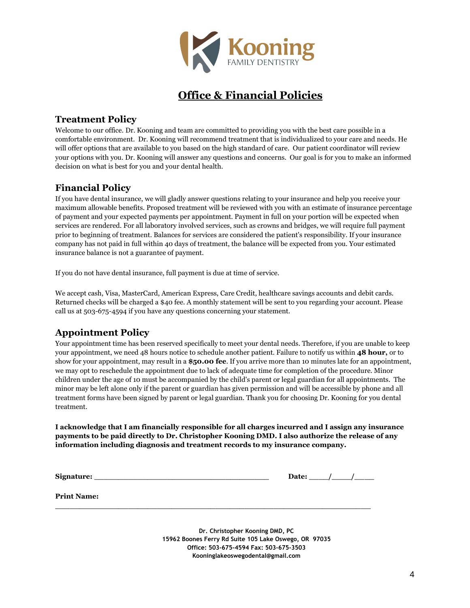

### **Office & Financial Policies**

### **Treatment Policy**

Welcome to our office. Dr. Kooning and team are committed to providing you with the best care possible in a comfortable environment. Dr. Kooning will recommend treatment that is individualized to your care and needs. He will offer options that are available to you based on the high standard of care. Our patient coordinator will review your options with you. Dr. Kooning will answer any questions and concerns. Our goal is for you to make an informed decision on what is best for you and your dental health.

### **Financial Policy**

If you have dental insurance, we will gladly answer questions relating to your insurance and help you receive your maximum allowable benefits. Proposed treatment will be reviewed with you with an estimate of insurance percentage of payment and your expected payments per appointment. Payment in full on your portion will be expected when services are rendered. For all laboratory involved services, such as crowns and bridges, we will require full payment prior to beginning of treatment. Balances for services are considered the patient's responsibility. If your insurance company has not paid in full within 40 days of treatment, the balance will be expected from you. Your estimated insurance balance is not a guarantee of payment.

If you do not have dental insurance, full payment is due at time of service.

We accept cash, Visa, MasterCard, American Express, Care Credit, healthcare savings accounts and debit cards. Returned checks will be charged a \$40 fee. A monthly statement will be sent to you regarding your account. Please call us at 503-675-4594 if you have any questions concerning your statement.

### **Appointment Policy**

Your appointment time has been reserved specifically to meet your dental needs. Therefore, if you are unable to keep your appointment, we need 48 hours notice to schedule another patient. Failure to notify us within **48 hour,** or to show for your appointment, may result in a **\$50.00 fee**. If you arrive more than 10 minutes late for an appointment, we may opt to reschedule the appointment due to lack of adequate time for completion of the procedure. Minor children under the age of 10 must be accompanied by the child's parent or legal guardian for all appointments. The minor may be left alone only if the parent or guardian has given permission and will be accessible by phone and all treatment forms have been signed by parent or legal guardian. Thank you for choosing Dr. Kooning for you dental treatment.

**I acknowledge that I am financially responsible for all charges incurred and I assign any insurance payments to be paid directly to Dr. Christopher Kooning DMD. I also authorize the release of any information including diagnosis and treatment records to my insurance company.** 

**\_\_\_\_\_\_\_\_\_\_\_\_\_\_\_\_\_\_\_\_\_\_\_\_\_\_\_\_\_\_\_\_\_\_\_\_\_\_\_\_\_\_\_\_\_\_\_\_\_\_\_\_\_\_\_\_\_\_\_\_\_\_\_\_\_**

 $Signature:$ 

| Date: |  |  |  |
|-------|--|--|--|
|-------|--|--|--|

**Print Name:** 

**Dr. Christopher Kooning DMD, PC 15962 Boo[nes Ferry Rd Suite 105 Lake O](mailto:Kooninglakeoswegodental@gmail.com)swego, OR 97035 Office: 503-675-4594 Fax: 503-675-3503 Kooninglakeoswegodental@gmail.com**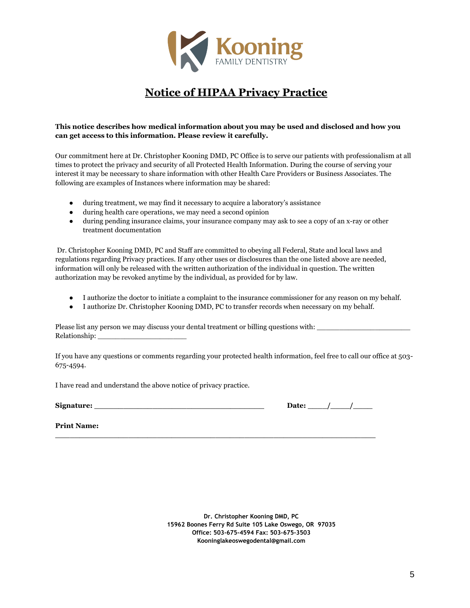

## **Notice of HIPAA Privacy Practice**

#### **This notice describes how medical information about you may be used and disclosed and how you can get access to this information. Please review it carefully.**

Our commitment here at Dr. Christopher Kooning DMD, PC Office is to serve our patients with professionalism at all times to protect the privacy and security of all Protected Health Information. During the course of serving your interest it may be necessary to share information with other Health Care Providers or Business Associates. The following are examples of Instances where information may be shared:

- during treatment, we may find it necessary to acquire a laboratory's assistance
- during health care operations, we may need a second opinion
- during pending insurance claims, your insurance company may ask to see a copy of an x-ray or other treatment documentation

Dr. Christopher Kooning DMD, PC and Staff are committed to obeying all Federal, State and local laws and regulations regarding Privacy practices. If any other uses or disclosures than the one listed above are needed, information will only be released with the written authorization of the individual in question. The written authorization may be revoked anytime by the individual, as provided for by law.

- I authorize the doctor to initiate a complaint to the insurance commissioner for any reason on my behalf.
- I authorize Dr. Christopher Kooning DMD, PC to transfer records when necessary on my behalf.

**\_\_\_\_\_\_\_\_\_\_\_\_\_\_\_\_\_\_\_\_\_\_\_\_\_\_\_\_\_\_\_\_\_\_\_\_\_\_\_\_\_\_\_\_\_\_\_\_\_\_\_\_\_\_\_\_\_\_\_\_\_\_\_\_\_\_**

Please list any person we may discuss your dental treatment or billing questions with: Relationship: \_\_\_\_\_\_\_\_\_\_\_\_\_\_\_\_\_\_\_\_

If you have any questions or comments regarding your protected health information, feel free to call our office at 503- 675-4594.

I have read and understand the above notice of privacy practice.

Signature:

| Date: |  |  |
|-------|--|--|
|       |  |  |

**Print Name:** 

**Dr. Christopher Kooning DMD, PC 15962 Boones Ferry Rd Suite 105 Lake Oswego, OR 97035 Office: 503-675-4594 Fax: 503-675-3503 K[ooninglakeoswegodental@gmai](mailto:Kooninglakeoswegodental@gmail.com)l.com**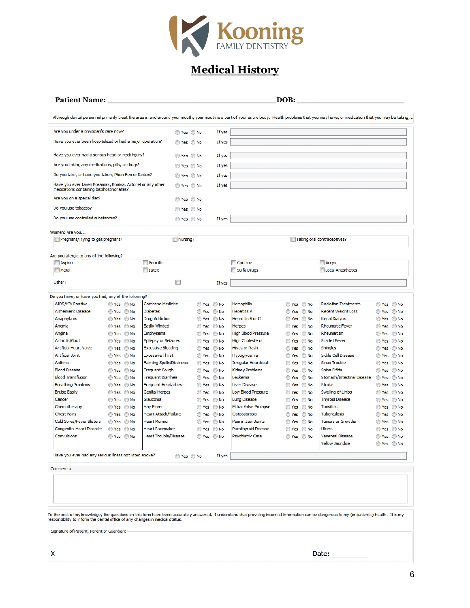

# **Medical History**

#### **Patient Name:** \_\_\_\_\_\_\_\_\_\_\_\_\_\_\_\_\_\_\_\_\_\_\_\_\_\_\_\_\_\_\_\_\_\_\_\_\_\_**DOB:** \_\_\_\_\_\_\_\_\_\_\_\_\_\_\_\_\_\_\_\_\_\_\_\_

Although dental personnel primarily treat the area in and around your mouth, your mouth is a part of your entire body. Health problems that you may have, or medication that you may be taking, c

| Are you under a physician's care now?                                                                |                                                    |                                  | ◯ Yes ◯ No |            | If yes |                            |            |                             |            |
|------------------------------------------------------------------------------------------------------|----------------------------------------------------|----------------------------------|------------|------------|--------|----------------------------|------------|-----------------------------|------------|
| Have you ever been hospitalized or had a major operation?                                            |                                                    | ◯ Yes ◯ No                       |            | If yes     |        |                            |            |                             |            |
|                                                                                                      |                                                    |                                  |            |            |        |                            |            |                             |            |
| Have you ever had a serious head or neck injury?                                                     |                                                    | ◯ Yes ◯ No                       |            | If yes     |        |                            |            |                             |            |
| Are you taking any medications, pills, or drugs?                                                     |                                                    | ◯ Yes ◯ No                       |            | If yes     |        |                            |            |                             |            |
|                                                                                                      | Do you take, or have you taken, Phen-Fen or Redux? |                                  | ◯ Yes ◯ No |            | If yes |                            |            |                             |            |
| Have you ever taken Fosamax, Boniva, Actonel or any other<br>medications containing bisphosphonates? |                                                    | ◯ Yes ◯ No                       |            | If yes     |        |                            |            |                             |            |
| Are you on a special diet?                                                                           |                                                    | ◯ Yes ◯ No                       |            |            |        |                            |            |                             |            |
| Do you use tobacco?                                                                                  |                                                    |                                  | ◯ Yes ◯ No |            |        |                            |            |                             |            |
| Do you use controlled substances?                                                                    |                                                    |                                  | ◯ Yes ◯ No |            | If yes |                            |            |                             |            |
|                                                                                                      |                                                    |                                  |            |            |        |                            |            |                             |            |
| Women: Are you<br>Pregnant/Trying to get pregnant?                                                   |                                                    |                                  | Nursing?   |            |        |                            |            | Taking oral contraceptives? |            |
|                                                                                                      |                                                    |                                  |            |            |        |                            |            |                             |            |
| Are you allergic to any of the following?                                                            |                                                    |                                  |            |            |        |                            |            |                             |            |
| Aspirin                                                                                              |                                                    | Penicilin                        |            |            |        | Codeine                    |            | Acrylic                     |            |
| Metal                                                                                                |                                                    | Latex                            |            |            |        | Sulfa Drugs                |            | Local Anesthetics           |            |
| Other?                                                                                               |                                                    |                                  | $\Box$     |            | If yes |                            |            |                             |            |
|                                                                                                      |                                                    |                                  |            |            |        |                            |            |                             |            |
| Do you have, or have you had, any of the following?                                                  |                                                    |                                  |            |            |        |                            |            |                             |            |
| <b>AIDS/HIV Positive</b>                                                                             | ◯ Yes ◯ No                                         | <b>Cortisone Medicine</b>        |            | ◯ Yes ◯ No |        | Hemophilia                 | ◯ Yes ◯ No | <b>Radiation Treatments</b> | ◯ Yes ◯ No |
| <b>Alzheimer's Disease</b>                                                                           | ⊙ Yes ⊙ No                                         | <b>Diabetes</b>                  |            | ◯ Yes ◯ No |        | <b>Hepatitis A</b>         | ◯ Yes ◯ No | <b>Recent Weight Loss</b>   | ◯ Yes ◯ No |
| Anaphylaxis                                                                                          | ◯ Yes ◯ No                                         | <b>Drug Addiction</b>            |            | Yes No     |        | Hepatitis B or C           | ◯ Yes ◯ No | <b>Renal Dialysis</b>       | ◯ Yes ◯ No |
| Anemia                                                                                               | ◯ Yes ◯ No                                         | <b>Easily Winded</b>             |            | ⊙Yes ⊙No   |        | <b>Herpes</b>              | ◯ Yes ◯ No | <b>Rheumatic Fever</b>      | ◯ Yes ◯ No |
| Angina                                                                                               | ◯ Yes ◯ No                                         | Emphysema                        |            | ◯ Yes ◯ No |        | <b>High Blood Pressure</b> | ◯ Yes ◯ No | Rheumatism                  | ◯ Yes ◯ No |
| Arthritis/Gout                                                                                       | ◯ Yes ◯ No                                         | <b>Epilepsy or Seizures</b>      |            | ⊙Yes ⊙No   |        | <b>High Cholesterol</b>    | ⊙ Yes ⊙ No | <b>Scarlet Fever</b>        | ⊙Yes ⊙No   |
| <b>Artificial Heart Valve</b>                                                                        | ◯ Yes ◯ No                                         | <b>Excessive Bleeding</b>        |            | ◯ Yes ◯ No |        | <b>Hives or Rash</b>       | ◯ Yes ◯ No | Shingles                    | ◯ Yes ◯ No |
| <b>Artificial Joint</b>                                                                              | ◯ Yes ◯ No                                         | <b>Excessive Thirst</b>          |            | ⊙Yes ⊙No   |        | Hypoglycemia               | ⊙ Yes ⊙ No | Sickle Cell Disease         | ⊙Yes ⊙No   |
| Asthma                                                                                               | ⊙ Yes ⊙ No                                         | <b>Fainting Spells/Dizziness</b> |            | ◯ Yes ◯ No |        | Irregular Heartbeat        | ◯ Yes ◯ No | Sinus Trouble               | ◯ Yes ◯ No |
| <b>Blood Disease</b>                                                                                 | ◯ Yes ◯ No                                         | Frequent Cough                   |            | ◯ Yes ◯ No |        | Kidney Problems            | ◯ Yes ◯ No | Spina Bifida                | ◯ Yes ◯ No |
| <b>Blood Transfusion</b>                                                                             | ◯ Yes ◯ No                                         | <b>Frequent Diarrhea</b>         |            | ◯ Yes ◯ No |        | Leukemia                   | ◯ Yes ◯ No | Stomach/Intestinal Disease  | ◯ Yes ◯ No |
| <b>Breathing Problems</b>                                                                            | ◯ Yes ◯ No                                         | <b>Frequent Headaches</b>        |            | ⊙Yes ⊙No   |        | <b>Liver Disease</b>       | ◯ Yes ◯ No | Stroke                      | ◯ Yes ◯ No |
| <b>Bruise Easily</b>                                                                                 | ◯ Yes ◯ No                                         | <b>Genital Herpes</b>            |            | ◯ Yes ◯ No |        | <b>Low Blood Pressure</b>  | ◯ Yes ◯ No | Swelling of Limbs           | ◯ Yes ◯ No |
| Cancer                                                                                               | ◯ Yes ◯ No                                         | Glaucoma                         |            | ⊙ Yes ⊙ No |        | <b>Lung Disease</b>        | ◯ Yes ◯ No | <b>Thyroid Disease</b>      | ◯ Yes ◯ No |
| Chemotherapy                                                                                         | ◯ Yes ◯ No                                         | <b>Hay Fever</b>                 |            | ◯ Yes ◯ No |        | Mitral Valve Prolapse      | ◯ Yes ◯ No | <b>Tonsillitis</b>          | ◯ Yes ◯ No |
| <b>Chest Pains</b>                                                                                   | ◯ Yes ◯ No                                         | Heart Attack/Failure             |            | ◯ Yes ◯ No |        | Osteoporosis               | ◯ Yes ◯ No | <b>Tuberculosis</b>         | ◯ Yes ◯ No |
| Cold Sores/Fever Blisters                                                                            | ◎ Yes ◎ No                                         | <b>Heart Murmur</b>              |            | ◯ Yes ◯ No |        | Pain in Jaw Joints         | ⊙ Yes ⊙ No | <b>Tumors or Growths</b>    | ⊙ Yes ⊙ No |
| Congenital Heart Disorder                                                                            | ◯ Yes ◯ No                                         | <b>Heart Pacemaker</b>           |            | ◯ Yes ◯ No |        | Parathyroid Disease        | ◯ Yes ◯ No | <b>Ulcers</b>               | ◯ Yes ◯ No |
| Convulsions                                                                                          | ◎ Yes ◎ No                                         | <b>Heart Trouble/Disease</b>     |            | ⊙Yes ⊙No   |        | Psychiatric Care           | ⊙ Yes ⊙ No | Venereal Disease            | ◯ Yes ◯ No |
|                                                                                                      |                                                    |                                  |            |            |        |                            |            | <b>Yellow Jaundice</b>      | ◯ Yes ◯ No |
|                                                                                                      |                                                    |                                  |            |            |        |                            |            |                             |            |
| Have you ever had any serious illness not listed above?                                              |                                                    |                                  | ◯ Yes ◯ No |            | If yes |                            |            |                             |            |
|                                                                                                      |                                                    |                                  |            |            |        |                            |            |                             |            |

Comments:

To the best of my knowledge, the questions on this form have been accurately answered. I understand that providing incorrect information can be dangerous to my (or patient's) health. It is my<br>responsibility to inform the d

-Signature of Patient, Parent or Guardian: